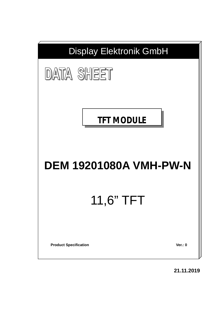

**21.11.2019**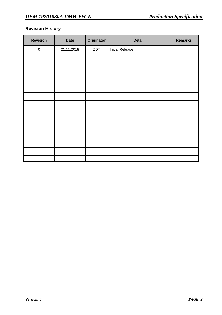# **Revision History**

| <b>Revision</b> | <b>Date</b> | Originator | <b>Detail</b>          | <b>Remarks</b> |
|-----------------|-------------|------------|------------------------|----------------|
| $\pmb{0}$       | 21.11.2019  | ZDT        | <b>Initial Release</b> |                |
|                 |             |            |                        |                |
|                 |             |            |                        |                |
|                 |             |            |                        |                |
|                 |             |            |                        |                |
|                 |             |            |                        |                |
|                 |             |            |                        |                |
|                 |             |            |                        |                |
|                 |             |            |                        |                |
|                 |             |            |                        |                |
|                 |             |            |                        |                |
|                 |             |            |                        |                |
|                 |             |            |                        |                |
|                 |             |            |                        |                |
|                 |             |            |                        |                |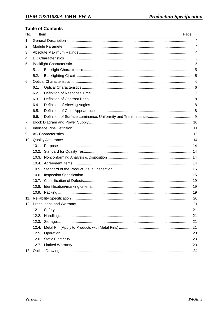## **Table of Contents**

| No. |       | Item | Page |
|-----|-------|------|------|
| 1.  |       |      |      |
| 2.  |       |      |      |
| 3.  |       |      |      |
| 4.  |       |      |      |
| 5.  |       |      |      |
|     | 5.1.  |      |      |
|     | 5.2.  |      |      |
| 6.  |       |      |      |
|     | 6.1.  |      |      |
|     | 6.2.  |      |      |
|     | 6.3.  |      |      |
|     | 6.4.  |      |      |
|     | 6.5.  |      |      |
|     | 6.6.  |      |      |
| 7.  |       |      |      |
| 8.  |       |      |      |
| 9.  |       |      |      |
|     |       |      |      |
|     |       |      |      |
|     | 10.2. |      |      |
|     |       |      |      |
|     |       |      |      |
|     | 10.5. |      |      |
|     | 10.6. |      |      |
|     | 10.7. |      |      |
|     | 10.8. |      |      |
|     |       |      |      |
|     |       |      |      |
|     |       |      |      |
|     |       |      |      |
|     |       |      |      |
|     |       |      |      |
|     |       |      |      |
|     |       |      |      |
|     |       |      |      |
|     |       |      |      |
|     |       |      |      |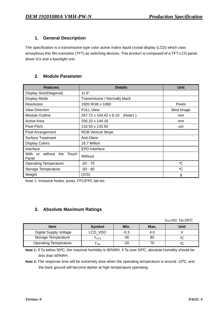### **1. General Description**

The specification is a transmissive type color active matrix liquid crystal display (LCD) which uses amorphous thin film transistor (TFT) as switching devices. This product is composed of a TFT-LCD panel, driver ICs and a backlight unit.

## **2. Module Parameter**

| <b>Features</b>                             | <b>Details</b>                    | <b>Unit</b>   |
|---------------------------------------------|-----------------------------------|---------------|
| Display Size(Diagonal)                      | 11.6"                             |               |
| Display Mode                                | Transmissive / Normally black     |               |
| Resolution                                  | 1920 RGB x 1080                   | <b>Pixels</b> |
| <b>View Direction</b>                       | <b>FULL View</b>                  | Best Image    |
| <b>Module Outline</b>                       | 267.72 x 164.42 x 6.10<br>(Note1) | mm            |
| Active Area                                 | 256.32 x 144.18                   | mm            |
| <b>Pixel Pitch</b>                          | 133.50 x 133.50                   | um            |
| <b>Pixel Arrangement</b>                    | <b>RGB Vertical Stripe</b>        |               |
| <b>Surface Treatment</b>                    | Anti-Glare                        |               |
| <b>Display Colors</b>                       | 16.7 Million                      |               |
| Interface                                   | <b>EPD</b> Interface              |               |
| without the<br>Touch<br>With<br>or<br>Panel | Without                           |               |
| <b>Operating Temperature</b>                | $-20 - 70$                        | °C            |
| Storage Temperature                         | $-30 - 80$                        | °C            |
| Weight                                      | (370)                             | g             |

Note 1: Inclusive hooks, posts, FFC/FPC tail etc.

## **3. Absolute Maximum Ratings**

 $V$ ss=0V, Ta=25<sup>o</sup>C

| <b>Item</b>                  | <b>Symbol</b> | Min.   | Max. | Unit |
|------------------------------|---------------|--------|------|------|
| Digital Supply Voltage       | LCD VDD       | $-0.3$ | 4.O  |      |
| Storage Temperature          | STG           | -30    | 80   |      |
| <b>Operating Temperature</b> | <b>OP</b>     | $-20$  |      | ٥C   |

**Note 1:** If Ta below 50ºC, the maximal humidity is 90%RH, if Ta over 50ºC, absolute humidity should be less than 60%RH.

**Note 2:** The response time will be extremely slow when the operating temperature is around -10℃, and the back ground will become darker at high temperature operating.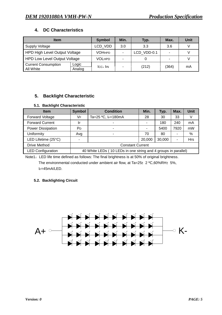## **4. DC Characteristics**

| <b>Item</b>                             | <b>Symbol</b>   | Min.                     | Typ.           | Max.        | Unit  |    |
|-----------------------------------------|-----------------|--------------------------|----------------|-------------|-------|----|
| Supply Voltage                          | LCD VDD         | 3.0                      | 3.3            | 3.6         |       |    |
| <b>HPD High Level Output Voltage</b>    |                 | <b>VOHHPD</b>            | $\blacksquare$ | LCD VDD-0.1 |       |    |
| <b>HPD Low Level Output Voltage</b>     | <b>VOLHPD</b>   | $\overline{\phantom{a}}$ |                |             |       |    |
| <b>Current Consumption</b><br>All White | Logic<br>Analog | $ICC+$ $III$             | ۰              | (212)       | (364) | mA |

## **5. Backlight Characteristic**

### **5.1. Backlight Characteristic**

| <b>Item</b>              | <b>Symbol</b>           | <b>Condition</b>                                               | Min.   | Typ.   | Max. | <b>Unit</b> |  |
|--------------------------|-------------------------|----------------------------------------------------------------|--------|--------|------|-------------|--|
| <b>Forward Voltage</b>   | VF                      | Ta=25 °C, $I_F = 180$ mA                                       | 28     | 30     | 33   |             |  |
| <b>Forward Current</b>   | I۴                      | -                                                              | ٠      | 180    | 240  | mA          |  |
| <b>Power Dissipation</b> | P <sub>D</sub>          | ۰                                                              |        | 5400   | 7920 | mW          |  |
| Uniformity               | Avg                     |                                                                | 70     | 80     |      | %           |  |
| LED Lifetime (25°C)      |                         |                                                                | 20,000 | 30,000 |      | <b>Hrs</b>  |  |
| <b>Drive Method</b>      | <b>Constant Current</b> |                                                                |        |        |      |             |  |
| <b>LED Configuration</b> |                         | 40 White LEDs (10 LEDs in one string and 4 groups in parallel) |        |        |      |             |  |

Note1: LED life time defined as follows: The final brightness is at 50% of original brightness. The environmental conducted under ambient air flow, at Ta=25 $\pm$ 2 °C,60%RH $\pm$ 5%, IF=45mA/LED.

### **5.2. Backlighting Circuit**

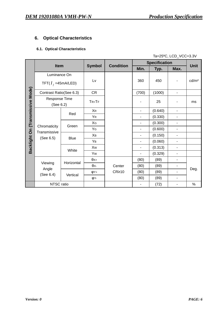## **6. Optical Characteristics**

### **6.1. Optical Characteristics**

#### Ta=25ºC, LCD\_VCC=3.3V

|  | Item                                                             |             |               | <b>Condition</b> |                | <b>Specification</b> |                          |                   |
|--|------------------------------------------------------------------|-------------|---------------|------------------|----------------|----------------------|--------------------------|-------------------|
|  |                                                                  |             | <b>Symbol</b> |                  | Min.           | Typ.                 | Max.                     | <b>Unit</b>       |
|  | Luminance On                                                     |             |               |                  |                |                      |                          |                   |
|  | TFT( $I_f$ =45mA/LED)                                            |             | Lv            |                  | 360            | 450                  | $\overline{\phantom{m}}$ | cd/m <sup>2</sup> |
|  | Contrast Ratio(See 6.3)                                          |             | <b>CR</b>     |                  | (700)          | (1000)               | $\overline{\phantom{m}}$ |                   |
|  | Response Time<br>(See 6.2)                                       |             | $TR+TF$       |                  |                | 25                   |                          | ms                |
|  |                                                                  |             | <b>XR</b>     |                  | $\frac{1}{2}$  | (0.640)              | $\blacksquare$           |                   |
|  | Backlight On (Transmissive Mode)<br>Red<br>Green<br>Chromaticity |             | YR            |                  | -              | (0.330)              | $\overline{\phantom{m}}$ |                   |
|  |                                                                  |             | XG            |                  | $\blacksquare$ | (0.300)              | $\blacksquare$           |                   |
|  |                                                                  |             | YG            |                  | -              | (0.600)              | $\blacksquare$           |                   |
|  | Transmissive<br>(See 6.5)                                        | <b>Blue</b> | Xв            |                  | $\blacksquare$ | (0.150)              | $\overline{\phantom{a}}$ |                   |
|  |                                                                  |             | YB            |                  | -              | (0.060)              | $\overline{\phantom{a}}$ |                   |
|  |                                                                  |             | Xw            |                  | $\blacksquare$ | (0.313)              | ۰                        |                   |
|  |                                                                  | White       | Yw            |                  | $\blacksquare$ | (0.329)              | $\blacksquare$           |                   |
|  |                                                                  | Horizontal  | $\theta$ X+   |                  | (80)           | (89)                 | $\overline{\phantom{a}}$ |                   |
|  | Viewing                                                          |             | θх-           | Center           | (80)           | (89)                 | ۰                        |                   |
|  | Angle<br>(See 6.4)                                               | Vertical    | $\phi$ Y+     | $CR \ge 10$      | (80)           | (89)                 | ۰                        | Deg.              |
|  |                                                                  |             | <b>φ</b> Υ-   |                  | (80)           | (89)                 | $\blacksquare$           |                   |
|  | NTSC ratio                                                       |             |               |                  |                | (72)                 | $\overline{\phantom{a}}$ | $\%$              |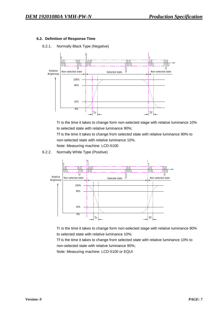#### **6.2. Definition of Response Time**

6.2.1. Normally Black Type (Negative)



Tr is the time it takes to change form non-selected stage with relative luminance 10% to selected state with relative luminance 90%;

Tf is the time it takes to change from selected state with relative luminance 90% to non-selected state with relative luminance 10%.

Note: Measuring machine: LCD-5100

6.2.2. Normally White Type (Positive)



Tr is the time it takes to change form non-selected stage with relative luminance 90% to selected state with relative luminance 10%;

Tf is the time it takes to change from selected state with relative luminance 10% to non-selected state with relative luminance 90%;

Note: Measuring machine: LCD-5100 or EQUI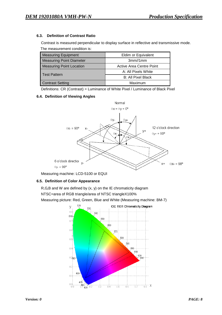#### **6.3. Definition of Contrast Ratio**

Contrast is measured perpendicular to display surface in reflective and transmissive mode. The measurement condition is:

| <b>Measuring Equipment</b>      | Eldim or Equivalent      |  |  |
|---------------------------------|--------------------------|--|--|
| <b>Measuring Point Diameter</b> | 3mm/1mm                  |  |  |
| <b>Measuring Point Location</b> | Active Area Centre Point |  |  |
| <b>Test Pattern</b>             | A: All Pixels White      |  |  |
|                                 | B: All Pixel Black       |  |  |
| <b>Contrast Setting</b>         | Maximum                  |  |  |

Definitions: CR (Contrast) = Luminance of White Pixel / Luminance of Black Pixel

#### **6.4. Definition of Viewing Angles**



Measuring machine: LCD-5100 or EQUI

#### **6.5. Definition of Color Appearance**

R,G,B and W are defined by (x, y) on the IE chromaticity diagram

NTSC=area of RGB triangle/area of NTSC triangleX100%

Measuring picture: Red, Green, Blue and White (Measuring machine: BM-7)

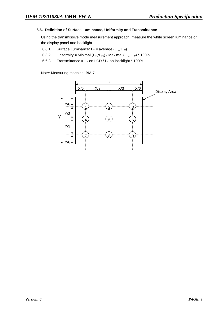#### **6.6. Definition of Surface Luminance, Uniformity and Transmittance**

Using the transmissive mode measurement approach, measure the white screen luminance of the display panel and backlight.

- 6.6.1. Surface Luminance:  $L_V$  = average ( $L_{P1}:L_{P9}$ )
- 6.6.2. Uniformity = Minimal  $(L_{P1}:L_{P9})$  / Maximal  $(L_{P1}:L_{P9})$  \* 100%
- 6.6.3. Transmittance =  $Lv$  on LCD /  $Lv$  on Backlight  $*$  100%

Note: Measuring machine: BM-7

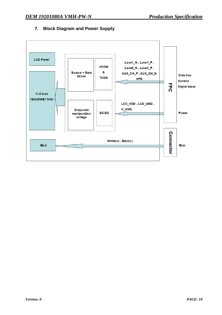

## **7. Block Diagram and Power Supply**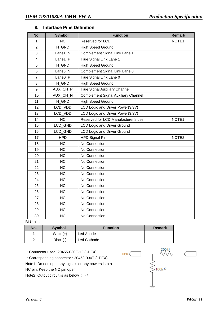| No.            | <b>Symbol</b>       | <b>Function</b>                            | <b>Remark</b>     |
|----------------|---------------------|--------------------------------------------|-------------------|
| 1              | <b>NC</b>           | Reserved for LCD                           | NOTE1             |
| $\overline{2}$ | H_GND               | <b>High Speed Ground</b>                   |                   |
| 3              | Lane1_N             | Complement Signal Link Lane 1              |                   |
| $\overline{4}$ | Lane1_P             | True Signal Link Lane 1                    |                   |
| 5              | H_GND               | <b>High Speed Ground</b>                   |                   |
| 6              | Lane <sub>0_N</sub> | Complement Signal Link Lane 0              |                   |
| $\overline{7}$ | Lane <sub>0_P</sub> | True Signal Link Lane 0                    |                   |
| 8              | H_GND               | <b>High Speed Ground</b>                   |                   |
| 9              | AUX_CH_P            | True Signal Auxiliary Channel              |                   |
| 10             | AUX_CH_N            | <b>Complement Signal Auxiliary Channel</b> |                   |
| 11             | H_GND               | <b>High Speed Ground</b>                   |                   |
| 12             | LCD_VDD             | LCD Logic and Driver Power(3.3V)           |                   |
| 13             | LCD_VDD             | LCD Logic and Driver Power(3.3V)           |                   |
| 14             | <b>NC</b>           | Reserved for LCD Manufacturer's use        | NOTE1             |
| 15             | LCD_GND             | <b>LCD Logic and Driver Ground</b>         |                   |
| 16             | LCD_GND             | <b>LCD Logic and Driver Ground</b>         |                   |
| 17             | <b>HPD</b>          | <b>HPD Signal Pin</b>                      | NOTE <sub>2</sub> |
| 18             | <b>NC</b>           | No Connection                              |                   |
| 19             | <b>NC</b>           | No Connection                              |                   |
| 20             | <b>NC</b>           | No Connection                              |                   |
| 21             | <b>NC</b>           | No Connection                              |                   |
| 22             | <b>NC</b>           | No Connection                              |                   |
| 23             | <b>NC</b>           | No Connection                              |                   |
| 24             | <b>NC</b>           | No Connection                              |                   |
| 25             | <b>NC</b>           | No Connection                              |                   |
| 26             | <b>NC</b>           | No Connection                              |                   |
| 27             | <b>NC</b>           | No Connection                              |                   |
| 28             | <b>NC</b>           | No Connection                              |                   |
| 29             | <b>NC</b>           | No Connection                              |                   |
| 30             | <b>NC</b>           | No Connection                              |                   |

### **8. Interface Pins Definition**

BLU pin:

| No. | <b>Symbol</b> | <b>Function</b> | Remark |
|-----|---------------|-----------------|--------|
|     | White $(+)$   | Led Anode       |        |
| ົ   | $Black(-)$    | Led Cathode     |        |

・Connector used :20455-030E-12 (I-PEX)

・Corresponding connector : 20453-030T (I-PEX)

Note1: Do not input any signals or any powers into a

NC pin. Keep the NC pin open.

Note2: Output circuit is as below  $(\rightarrow)$ 

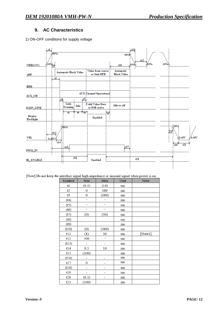### **9. AC Characteristics**

1) ON-OFF conditions for supply voltage

|                             | $dt_{\rm x}$<br>90%     |                                   |                                   | 90%                             | $-t11$<br>t12 |                               |
|-----------------------------|-------------------------|-----------------------------------|-----------------------------------|---------------------------------|---------------|-------------------------------|
| VDD(3.3V)                   | 40%<br>ਲ                |                                   |                                   | t10                             | 40%<br>10%    | $10\%$                        |
| eDP                         |                         | <b>Automatic Black Video</b>      | Video from source<br>or Sink RFB  | Automatic<br><b>Black Video</b> |               |                               |
|                             | $t3$ $\sqrt{3}$         |                                   |                                   |                                 |               |                               |
| <b>HPD</b>                  |                         |                                   |                                   |                                 |               |                               |
| <b>AUX_CH</b>               |                         |                                   | <b>AUX Channel Operational</b>    |                                 |               |                               |
| <b>MAIN LINK</b>            | 棏                       | $\mu$<br>Link<br>Idle<br>Training | Valid Video Data<br>or PSR active | Idle or off                     |               |                               |
| Display<br><b>Backlight</b> |                         | $16 \times 18$<br>ť5              | Enabled                           | $\overline{v}$                  |               |                               |
| <b>VBL</b>                  | t13                     | 90%                               |                                   |                                 |               | 90%<br>è19<br>⊻0.45V<br>0.45V |
|                             | 0.45V<br>$\overline{u}$ | 15.                               |                                   | £17,                            |               | t21<br>t20                    |
| PWM IN                      |                         |                                   |                                   |                                 |               |                               |
| <b>BL_ENABLE</b>            |                         | t16                               | Enabled                           |                                 | t18           |                               |
|                             |                         |                                   |                                   |                                 |               |                               |

[Note] Do not keep the interface signal high-impedance or unusual signal when power is on.

| Symbol | Min                      | Max                      | Unit     | Note    |
|--------|--------------------------|--------------------------|----------|---------|
| t1     | (0.5)                    | (10)                     | ms       |         |
| t2     | 0                        | 100                      | ms       |         |
| t3     | 0                        | (100)                    | ms       |         |
| (t4)   | ÷,                       | -                        | ms       |         |
| (t5)   | $\overline{a}$           | $\overline{\phantom{0}}$ | ms       |         |
| (t6)   | $\overline{\phantom{0}}$ | $\overline{\phantom{a}}$ | ms       |         |
| (t7)   | (0)                      | (50)                     | ms       |         |
| (t8)   |                          |                          | $\rm ms$ |         |
| (t9)   |                          |                          | ms       |         |
| (t10)  | (0)                      | (500)                    | ms       |         |
| t11    | (1)                      | 50                       | ms       | [Note1] |
| t12    | 500                      | $\bar{ }$                | ms       |         |
| (t13)  | $\overline{\phantom{0}}$ | -                        | ms       |         |
| t14    | 0.5                      | 10                       | ms       |         |
| t15    | (100)                    |                          | ms       |         |
| (116)  |                          |                          | ms       |         |
| t17    | 0                        | -                        | ms       |         |
| (18)   |                          | -                        | ms       |         |
| t19    | -                        | -                        | ms       |         |
| t20    | (0.1)                    | -                        | ms       |         |
| t21    | (100)                    |                          | ms       |         |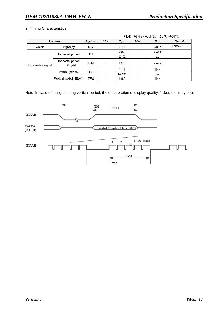#### 2) Timing Characteristics

| Parameter          |                             | Symbol  | Min.                     | Typ.  | Max.                     | Unit     | Remark          |
|--------------------|-----------------------------|---------|--------------------------|-------|--------------------------|----------|-----------------|
| Clock              | Frequency                   | $1/T_C$ |                          | 138.5 |                          | MHz      | [ $Note7-1-1$ ] |
|                    | Horizontal period           | TH      |                          | 2080  |                          | clock    |                 |
|                    |                             |         |                          | 15.02 |                          | μs       |                 |
| Data enable signal | Horizontal period<br>(High) | THd     | $\overline{\phantom{0}}$ | 1920  | $\overline{\phantom{a}}$ | clock    |                 |
|                    |                             |         |                          | 1111  |                          | line     |                 |
|                    | Vertical period             |         | TV<br>16.685<br>-        |       |                          | $\rm ms$ |                 |
|                    | Vertical period (High)      | TVd     |                          | 1080  |                          | line     |                 |

VDD=+3.0V~+3.6,Ta=-10°C~+60°C

Note: In case of using the long vertical period, the deterioration of display quality, flicker, etc, may occur.

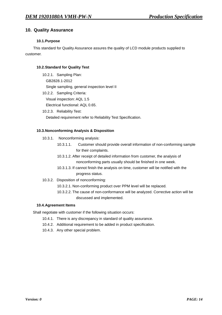### **10. Quality Assurance**

#### **10.1.Purpose**

This standard for Quality Assurance assures the quality of LCD module products supplied to customer.

#### **10.2.Standard for Quality Test**

- 10.2.1. Sampling Plan: GB2828.1-2012 Single sampling, general inspection level II
- 10.2.2. Sampling Criteria: Visual inspection: AQL 1.5 Electrical functional: AQL 0.65.
- 10.2.3. Reliability Test:

Detailed requirement refer to Reliability Test Specification.

#### **10.3.Nonconforming Analysis & Disposition**

- 10.3.1. Nonconforming analysis:
	- 10.3.1.1. Customer should provide overall information of non-conforming sample for their complaints.
	- 10.3.1.2. After receipt of detailed information from customer, the analysis of nonconforming parts usually should be finished in one week.
	- 10.3.1.3. If cannot finish the analysis on time, customer will be notified with the progress status.
- 10.3.2. Disposition of nonconforming:
	- 10.3.2.1. Non-conforming product over PPM level will be replaced.
	- 10.3.2.2. The cause of non-conformance will be analyzed. Corrective action will be discussed and implemented.

#### **10.4.Agreement Items**

Shall negotiate with customer if the following situation occurs:

- 10.4.1. There is any discrepancy in standard of quality assurance.
- 10.4.2. Additional requirement to be added in product specification.
- 10.4.3. Any other special problem.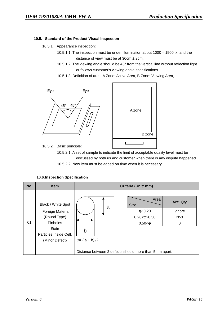#### **10.5. Standard of the Product Visual Inspection**

- 10.5.1. Appearance inspection:
	- 10.5.1.1. The inspection must be under illumination about 1000 1500 lx, and the distance of view must be at  $30 \text{cm} \pm 2 \text{cm}$ .
	- 10.5.1.2. The viewing angle should be 45° from the vertical line without reflection light or follows customer's viewing angle specifications.
	- 10.5.1.3. Definition of area: A Zone: Active Area, B Zone: Viewing Area,





10.5.2. Basic principle:

10.5.2.1. A set of sample to indicate the limit of acceptable quality level must be discussed by both us and customer when there is any dispute happened.

10.5.2.2. New item must be added on time when it is necessary.

| No. | <b>Item</b>                                                               | Criteria (Unit: mm)                                                                                              |  |  |  |  |  |  |
|-----|---------------------------------------------------------------------------|------------------------------------------------------------------------------------------------------------------|--|--|--|--|--|--|
| 01  | Black / White Spot<br><b>Foreign Material</b><br>(Round Type)<br>Pinholes | Area<br>Acc. Qty<br><b>Size</b><br>a<br>$\phi \leq 0.20$<br>Ignore<br>$N \leq 3$<br>$0.20 < \phi \leq 0.50$<br>0 |  |  |  |  |  |  |
|     | <b>Stain</b><br>Particles Inside Cell.<br>(Minor Defect)                  | $0.50 < \phi$<br>b<br>$\varphi = (a + b)/2$                                                                      |  |  |  |  |  |  |
|     |                                                                           | Distance between 2 defects should more than 5mm apart.                                                           |  |  |  |  |  |  |

#### **10.6.Inspection Specification**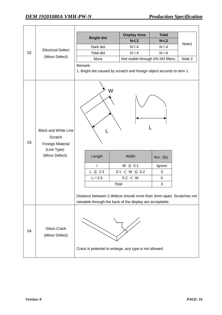┑

|    |                                                                                             | <b>Bright dot</b>                                                                                                                                                                      | <b>Display Area</b>                                             | <b>Total</b>                              | Note1  |  |  |  |
|----|---------------------------------------------------------------------------------------------|----------------------------------------------------------------------------------------------------------------------------------------------------------------------------------------|-----------------------------------------------------------------|-------------------------------------------|--------|--|--|--|
|    |                                                                                             |                                                                                                                                                                                        | $N \leqslant 2$                                                 | $N \leq 2$                                |        |  |  |  |
|    | <b>Electrical Defect</b>                                                                    | Dark dot                                                                                                                                                                               | $N \leq 4$                                                      | $N \leq 4$                                |        |  |  |  |
| 02 |                                                                                             | Total dot                                                                                                                                                                              | $N \leq 4$                                                      | $N \leq 4$                                |        |  |  |  |
|    | (Minor Defect)                                                                              | Mura                                                                                                                                                                                   | Not visible through 5% ND filters.                              |                                           | Note 2 |  |  |  |
|    |                                                                                             | Remark:<br>1. Bright dot caused by scratch and foreign object accords to item 1.                                                                                                       |                                                                 |                                           |        |  |  |  |
| 03 | <b>Black and White Line</b><br>Scratch<br>Foreign Material<br>(Line Type)<br>(Minor Defect) | W<br>Length<br>$\prime$<br>$L \leq 2.5$<br>L > 2.5<br>Distance between 2 defects should more than 3mm apart. Scratches not<br>viewable through the back of the display are acceptable. | Width<br>$W \leq 0.1$<br>$0.1 < W \leq 0.2$<br>0.2 < W<br>Total | Acc. Qty<br>Ignore<br>3<br>$\pmb{0}$<br>3 |        |  |  |  |
| 04 | <b>Glass Crack</b><br>(Minor Defect)                                                        |                                                                                                                                                                                        |                                                                 |                                           |        |  |  |  |
|    |                                                                                             | Crack is potential to enlarge, any type is not allowed.                                                                                                                                |                                                                 |                                           |        |  |  |  |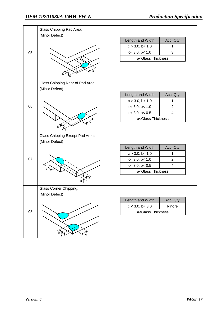|          | Glass Chipping Pad Area:<br>(Minor Defect)         |                                                |                |
|----------|----------------------------------------------------|------------------------------------------------|----------------|
|          |                                                    | Length and Width                               | Acc. Qty       |
|          |                                                    | c > 3.0, b < 1.0                               | 1              |
| 05       |                                                    | c < 3.0, b < 1.0                               | $\mathbf{3}$   |
|          |                                                    | a <glass td="" thickness<=""><td></td></glass> |                |
|          |                                                    |                                                |                |
|          | Glass Chipping Rear of Pad Area:<br>(Minor Defect) |                                                |                |
|          |                                                    | Length and Width                               | Acc. Qty       |
|          |                                                    | c > 3.0, b < 1.0                               | $\mathbf{1}$   |
| 06       |                                                    | c < 3.0, b < 1.0                               | $\overline{2}$ |
|          |                                                    | $c < 3.0$ , $b < 0.5$                          | $\overline{4}$ |
|          |                                                    | a <glass td="" thickness<=""><td></td></glass> |                |
|          |                                                    |                                                |                |
|          | <b>Glass Chipping Except Pad Area:</b>             |                                                |                |
|          | (Minor Defect)                                     |                                                |                |
|          |                                                    | Length and Width                               | Acc. Qty       |
|          |                                                    | $c > 3.0$ , b< 1.0                             | 1              |
|          |                                                    | c < 3.0, b < 1.0                               | $\overline{2}$ |
|          |                                                    | $c < 3.0$ , $b < 0.5$                          | $\overline{4}$ |
|          |                                                    | a <glass td="" thickness<=""><td></td></glass> |                |
|          |                                                    |                                                |                |
|          | <b>Glass Corner Chipping:</b>                      |                                                |                |
|          | (Minor Defect)                                     |                                                |                |
| 07<br>08 |                                                    | Length and Width                               | Acc. Qty       |
|          |                                                    | c < 3.0, b < 3.0                               | Ignore         |
|          |                                                    | a <glass td="" thickness<=""><td></td></glass> |                |
|          |                                                    |                                                |                |
|          |                                                    |                                                |                |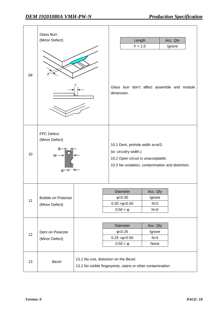| 09 | Glass Burr:<br>(Minor Defect)                                 |                                                                                                        | dimension. |                                                                             | Length<br>F < 1.0                                                             | Acc. Qty<br>Ignore<br>Glass burr don't affect assemble and module |
|----|---------------------------------------------------------------|--------------------------------------------------------------------------------------------------------|------------|-----------------------------------------------------------------------------|-------------------------------------------------------------------------------|-------------------------------------------------------------------|
| 10 | FPC Defect:<br>(Minor Defect)<br>$w \rightarrow$<br>→∃<<br>a. |                                                                                                        |            | (w: circuitry width.)                                                       | 10.1 Dent, pinhole width a <w 3.<br="">10.2 Open circuit is unacceptable.</w> | 10.3 No oxidation, contamination and distortion.                  |
| 11 | <b>Bubble on Polarizer</b><br>(Minor Defect)                  |                                                                                                        |            | Diameter<br>$\phi \leq 0.30$<br>$0.30 < \phi \leq 0.50$<br>$0.50 < \varphi$ | Acc. Qty<br>Ignore<br>$N \leq 2$<br>$N=0$                                     |                                                                   |
| 12 | Dent on Polarizer<br>(Minor Defect)                           |                                                                                                        |            | Diameter<br>$\varphi \leq 0.25$<br>$0.25 < \phi \leq 0.50$<br>$0.50 < \phi$ | Acc. Qty<br>Ignore<br>$N \leq 4$<br>None                                      |                                                                   |
| 13 | Bezel                                                         | 13.1 No rust, distortion on the Bezel.<br>13.2 No visible fingerprints, stains or other contamination. |            |                                                                             |                                                                               |                                                                   |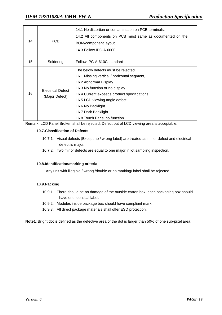| 14 | PCB                                        | 14.1 No distortion or contamination on PCB terminals.<br>14.2 All components on PCB must same as documented on the<br>BOM/component layout.<br>14.3 Follow IPC-A-600F.                                                                                                                                           |
|----|--------------------------------------------|------------------------------------------------------------------------------------------------------------------------------------------------------------------------------------------------------------------------------------------------------------------------------------------------------------------|
| 15 | Soldering                                  | Follow IPC-A-610C standard                                                                                                                                                                                                                                                                                       |
| 16 | <b>Electrical Defect</b><br>(Major Defect) | The below defects must be rejected.<br>16.1 Missing vertical / horizontal segment,<br>16.2 Abnormal Display.<br>16.3 No function or no display.<br>16.4 Current exceeds product specifications.<br>16.5 LCD viewing angle defect.<br>16.6 No Backlight.<br>16.7 Dark Backlight.<br>16.8 Touch Panel no function. |

Remark: LCD Panel Broken shall be rejected. Defect out of LCD viewing area is acceptable.

#### **10.7.Classification of Defects**

- 10.7.1. Visual defects (Except no / wrong label) are treated as minor defect and electrical defect is major.
- 10.7.2. Two minor defects are equal to one major in lot sampling inspection.

#### **10.8.Identification/marking criteria**

Any unit with illegible / wrong /double or no marking/ label shall be rejected.

#### **10.9.Packing**

- 10.9.1. There should be no damage of the outside carton box, each packaging box should have one identical label.
- 10.9.2. Modules inside package box should have compliant mark.
- 10.9.3. All direct package materials shall offer ESD protection.

**Note1**: Bright dot is defined as the defective area of the dot is larger than 50% of one sub-pixel area.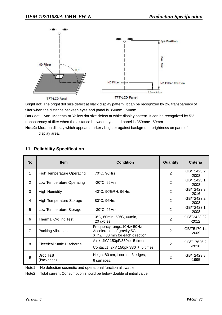

Bright dot: The bright dot size defect at black display pattern. It can be recognized by 2% transparency of filter when the distance between eyes and panel is 350mm±50mm.

Dark dot: Cyan, Magenta or Yellow dot size defect at white display pattern. It can be recognized by 5% transparency of filter when the distance between eyes and panel is 350mm $\pm$ 50mm.

**Note2:** Mura on display which appears darker / brighter against background brightness on parts of display area.

| <b>No</b>      | <b>Item</b>                        | <b>Condition</b>                                                                               | Quantity       | Criteria               |
|----------------|------------------------------------|------------------------------------------------------------------------------------------------|----------------|------------------------|
| 1              | <b>High Temperature Operating</b>  | 70°C, 96Hrs                                                                                    | $\overline{2}$ | GB/T2423.2<br>$-2008$  |
| 2              | Low Temperature Operating          | $-20^{\circ}$ C, 96Hrs                                                                         | $\overline{2}$ | GB/T2423.1<br>$-2008$  |
| 3              | <b>High Humidity</b>               | 40°C, 90%RH, 96Hrs                                                                             | $\overline{2}$ | GB/T2423.3<br>$-2016$  |
| 4              | <b>High Temperature Storage</b>    | 80°C, 96Hrs                                                                                    | $\overline{2}$ | GB/T2423.2<br>$-2008$  |
| 5              | Low Temperature Storage            | $-30^{\circ}$ C, 96Hrs                                                                         | $\overline{2}$ | GB/T2423.1<br>$-2008$  |
| 6              | <b>Thermal Cycling Test</b>        | 0°C, 60min~50°C, 60min,<br>20 cycles.                                                          | $\overline{2}$ | GB/T2423.22<br>$-2012$ |
| $\overline{7}$ | Packing Vibration                  | Frequency range: 10Hz~50Hz<br>Acceleration of gravity:5G<br>X, Y, Z 30 min for each direction. | $\overline{2}$ | GB/T5170.14<br>$-2009$ |
| 8              | <b>Electrical Static Discharge</b> | Air: $\pm$ 4kV 150pF/330 $\Omega$ 5 times                                                      | $\overline{2}$ | GB/T17626.2            |
|                |                                    | Contact: $\pm 2kV$ 150pF/330 $\Omega$ 5 times                                                  |                | $-2018$                |
| 9              | Drop Test<br>(Packaged)            | Height:80 cm,1 corner, 3 edges,<br>6 surfaces.                                                 | $\overline{2}$ | GB/T2423.8<br>$-1995$  |

## **11. Reliability Specification**

Note1. No defection cosmetic and operational function allowable.

Note2. Total current Consumption should be below double of initial value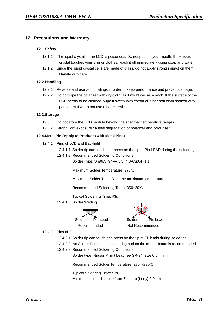### **12. Precautions and Warranty**

#### **12.1.Safety**

- 12.1.1. The liquid crystal in the LCD is poisonous. Do not put it in your mouth. If the liquid crystal touches your skin or clothes, wash it off immediately using soap and water.
- 12.1.2. Since the liquid crystal cells are made of glass, do not apply strong impact on them. Handle with care.

#### **12.2.Handling**

- 12.2.1. Reverse and use within ratings in order to keep performance and prevent damage.
- 12.2.2. Do not wipe the polarizer with dry cloth, as it might cause scratch. If the surface of the LCD needs to be cleaned, wipe it swiftly with cotton or other soft cloth soaked with petroleum IPA, do not use other chemicals.

#### **12.3.Storage**

- 12.3.1. Do not store the LCD module beyond the specified temperature ranges.
- 12.3.2. Strong light exposure causes degradation of polarizer and color filter.

#### **12.4.Metal Pin (Apply to Products with Metal Pins)**

- 12.4.1. Pins of LCD and Backlight
	- 12.4.1.1. Solder tip can touch and press on the tip of Pin LEAD during the soldering
	- 12.4.1.2. Recommended Soldering Conditions

Solder Type: Sn96.3~94-Ag3.3~4.3-Cu0.4~1.1

Maximum Solder Temperature: 370℃

Maximum Solder Time: 3s at the maximum temperature

Recommended Soldering Temp: 350±20℃

Typical Soldering Time: ≤3s

12.4.1.3. Solder Wetting



- 12.4.2. Pins of EL
	- 12.4.2.1. Solder tip can touch and press on the tip of EL leads during soldering.
	- 12.4.2.2. No Solder Paste on the soldering pad on the motherboard is recommended.
	- 12.4.2.3. Recommended Soldering Conditions

Solder type: Nippon Alimit Leadfree SR-34, size 0.5mm

Recommended Solder Temperature: 270~290℃

Typical Soldering Time: ≤2s

Minimum solder distance from EL lamp (body):2.0mm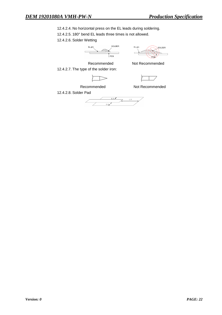12.4.2.4. No horizontal press on the EL leads during soldering.

12.4.2.5. 180° bend EL leads three times is not allowed.

12.4.2.6. Solder Wetting





12.4.2.7. The type of the solder iron:

Recommended Not Recommended

Recommended Not Recommended

12.4.2.8. Solder Pad

 $\begin{array}{|c|c|c|}\n\hline\n&0.8 & 1.0 \\
\hline\n&0.8 & 1.0 \\
\hline\n\end{array}$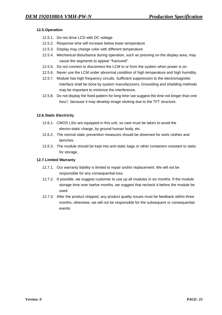#### **12.5.Operation**

- 12.5.1. Do not drive LCD with DC voltage
- 12.5.2. Response time will increase below lower temperature
- 12.5.3. Display may change color with different temperature
- 12.5.4. Mechanical disturbance during operation, such as pressing on the display area, may cause the segments to appear "fractured".
- 12.5.5. Do not connect or disconnect the LCM to or from the system when power is on.
- 12.5.6. Never use the LCM under abnormal condition of high temperature and high humidity.
- 12.5.7. Module has high frequency circuits. Sufficient suppression to the electromagnetic interface shall be done by system manufacturers. Grounding and shielding methods may be important to minimize the interference.
- 12.5.8. Do not display the fixed pattern for long time(we suggest the time not longer than one hour) because it may develop image sticking due to the TFT structure.

### **12.6.Static Electricity**

- 12.6.1. CMOS LSIs are equipped in this unit, so care must be taken to avoid the electro-static charge, by ground human body, etc.
- 12.6.2. The normal static prevention measures should be observed for work clothes and benches.
- 12.6.3. The module should be kept into anti-static bags or other containers resistant to static for storage.

#### **12.7.Limited Warranty**

- 12.7.1. Our warranty liability is limited to repair and/or replacement. We will not be responsible for any consequential loss.
- 12.7.2. If possible, we suggest customer to use up all modules in six months. If the module storage time over twelve months, we suggest that recheck it before the module be used.
- 12.7.3. After the product shipped, any product quality issues must be feedback within three months, otherwise, we will not be responsible for the subsequent or consequential events.